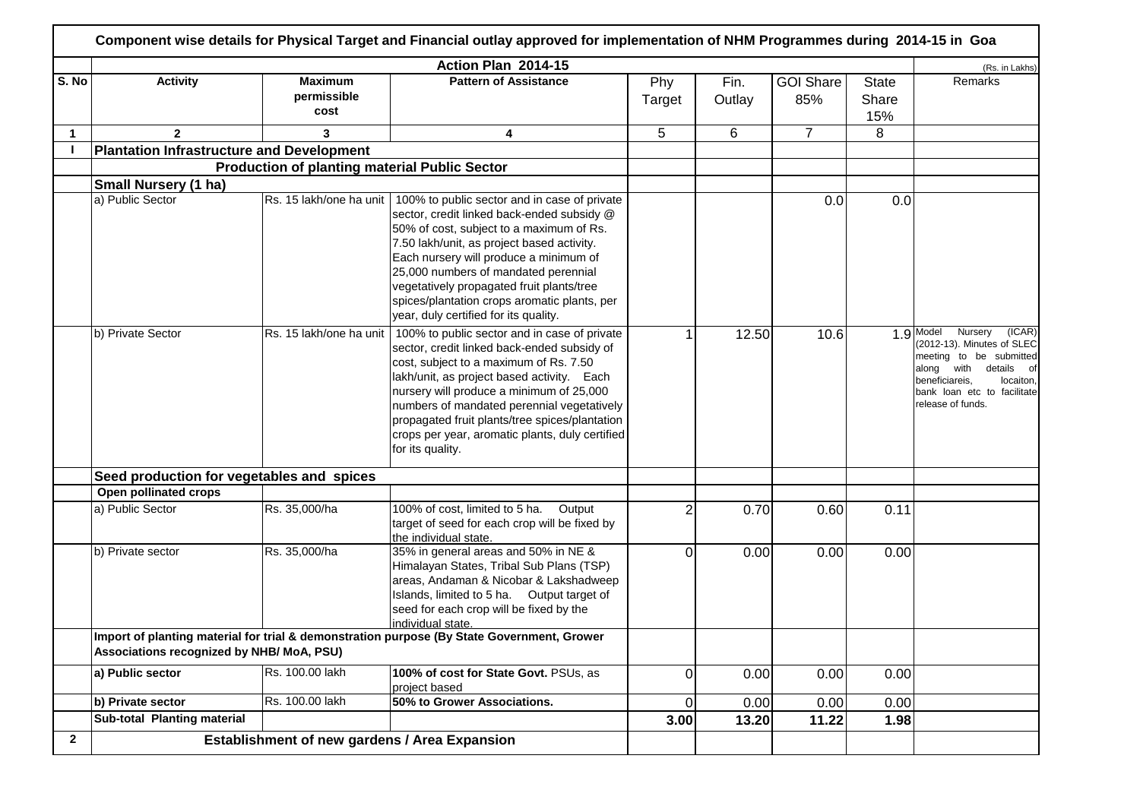|              |                                                  |                                                      | Action Plan 2014-15                                                                                                                                                                                                                                                                                                                                                                                                                    |                |                |                         |                              | (Rs. in Lakhs)                                                                                                                                                                                           |
|--------------|--------------------------------------------------|------------------------------------------------------|----------------------------------------------------------------------------------------------------------------------------------------------------------------------------------------------------------------------------------------------------------------------------------------------------------------------------------------------------------------------------------------------------------------------------------------|----------------|----------------|-------------------------|------------------------------|----------------------------------------------------------------------------------------------------------------------------------------------------------------------------------------------------------|
| S. No        | <b>Activity</b>                                  | <b>Maximum</b><br>permissible<br>cost                | <b>Pattern of Assistance</b>                                                                                                                                                                                                                                                                                                                                                                                                           | Phy<br>Target  | Fin.<br>Outlay | <b>GOI Share</b><br>85% | <b>State</b><br>Share<br>15% | Remarks                                                                                                                                                                                                  |
| $\mathbf 1$  | $\overline{2}$                                   | 3                                                    | 4                                                                                                                                                                                                                                                                                                                                                                                                                                      | 5              | 6              | $\overline{7}$          | 8                            |                                                                                                                                                                                                          |
|              | <b>Plantation Infrastructure and Development</b> |                                                      |                                                                                                                                                                                                                                                                                                                                                                                                                                        |                |                |                         |                              |                                                                                                                                                                                                          |
|              |                                                  | <b>Production of planting material Public Sector</b> |                                                                                                                                                                                                                                                                                                                                                                                                                                        |                |                |                         |                              |                                                                                                                                                                                                          |
|              | <b>Small Nursery (1 ha)</b>                      |                                                      |                                                                                                                                                                                                                                                                                                                                                                                                                                        |                |                |                         |                              |                                                                                                                                                                                                          |
|              | a) Public Sector                                 |                                                      | Rs. 15 lakh/one ha unit   100% to public sector and in case of private<br>sector, credit linked back-ended subsidy @<br>50% of cost, subject to a maximum of Rs.<br>7.50 lakh/unit, as project based activity.<br>Each nursery will produce a minimum of<br>25,000 numbers of mandated perennial<br>vegetatively propagated fruit plants/tree<br>spices/plantation crops aromatic plants, per<br>year, duly certified for its quality. |                |                | 0.0                     | 0.0                          |                                                                                                                                                                                                          |
|              | b) Private Sector                                | Rs. 15 lakh/one ha unit                              | 100% to public sector and in case of private<br>sector, credit linked back-ended subsidy of<br>cost, subject to a maximum of Rs. 7.50<br>lakh/unit, as project based activity. Each<br>nursery will produce a minimum of 25,000<br>numbers of mandated perennial vegetatively<br>propagated fruit plants/tree spices/plantation<br>crops per year, aromatic plants, duly certified<br>for its quality.                                 |                | 12.50          | 10.6                    |                              | $1.9$ Model<br>Nursery<br>(ICAR)<br>(2012-13). Minutes of SLEC<br>meeting to be submitted<br>along with<br>details of<br>locaiton,<br>beneficiareis,<br>bank loan etc to facilitate<br>release of funds. |
|              | Seed production for vegetables and spices        |                                                      |                                                                                                                                                                                                                                                                                                                                                                                                                                        |                |                |                         |                              |                                                                                                                                                                                                          |
|              | Open pollinated crops                            |                                                      |                                                                                                                                                                                                                                                                                                                                                                                                                                        |                |                |                         |                              |                                                                                                                                                                                                          |
|              | a) Public Sector                                 | Rs. 35,000/ha                                        | 100% of cost, limited to 5 ha. Output<br>target of seed for each crop will be fixed by<br>the individual state.                                                                                                                                                                                                                                                                                                                        | 2              | 0.70           | 0.60                    | 0.11                         |                                                                                                                                                                                                          |
|              | b) Private sector                                | Rs. 35,000/ha                                        | 35% in general areas and 50% in NE &<br>Himalayan States, Tribal Sub Plans (TSP)<br>areas, Andaman & Nicobar & Lakshadweep<br>Islands, limited to 5 ha. Output target of<br>seed for each crop will be fixed by the<br>individual state.                                                                                                                                                                                               | 0              | 0.00           | 0.00                    | 0.00                         |                                                                                                                                                                                                          |
|              | Associations recognized by NHB/ MoA, PSU)        |                                                      | Import of planting material for trial & demonstration purpose (By State Government, Grower                                                                                                                                                                                                                                                                                                                                             |                |                |                         |                              |                                                                                                                                                                                                          |
|              | a) Public sector                                 | Rs. 100.00 lakh                                      | 100% of cost for State Govt. PSUs, as<br>project based                                                                                                                                                                                                                                                                                                                                                                                 | 0              | 0.00           | 0.00                    | 0.00                         |                                                                                                                                                                                                          |
|              | b) Private sector                                | Rs. 100.00 lakh                                      | 50% to Grower Associations.                                                                                                                                                                                                                                                                                                                                                                                                            | $\overline{0}$ | 0.00           | 0.00                    | 0.00                         |                                                                                                                                                                                                          |
|              | Sub-total Planting material                      |                                                      |                                                                                                                                                                                                                                                                                                                                                                                                                                        | 3.00           | 13.20          | 11.22                   | 1.98                         |                                                                                                                                                                                                          |
| $\mathbf{2}$ |                                                  | <b>Establishment of new gardens / Area Expansion</b> |                                                                                                                                                                                                                                                                                                                                                                                                                                        |                |                |                         |                              |                                                                                                                                                                                                          |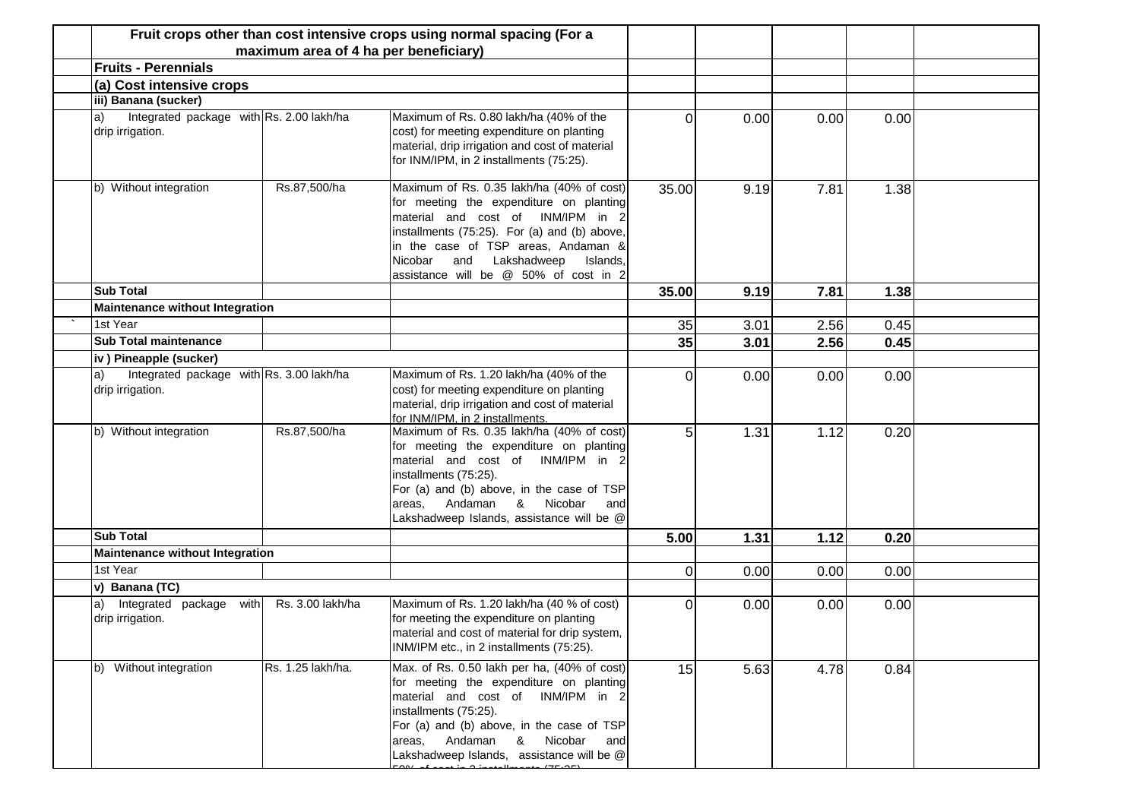|              |                                                              | maximum area of 4 ha per beneficiary) | Fruit crops other than cost intensive crops using normal spacing (For a                                                                                                                                                                                                                             |                |      |      |      |  |
|--------------|--------------------------------------------------------------|---------------------------------------|-----------------------------------------------------------------------------------------------------------------------------------------------------------------------------------------------------------------------------------------------------------------------------------------------------|----------------|------|------|------|--|
|              | <b>Fruits - Perennials</b>                                   |                                       |                                                                                                                                                                                                                                                                                                     |                |      |      |      |  |
|              | (a) Cost intensive crops                                     |                                       |                                                                                                                                                                                                                                                                                                     |                |      |      |      |  |
|              | iii) Banana (sucker)                                         |                                       |                                                                                                                                                                                                                                                                                                     |                |      |      |      |  |
| $\vert a)$   | Integrated package with Rs. 2.00 lakh/ha<br>drip irrigation. |                                       | Maximum of Rs. 0.80 lakh/ha (40% of the<br>cost) for meeting expenditure on planting<br>material, drip irrigation and cost of material<br>for INM/IPM, in 2 installments (75:25).                                                                                                                   | $\Omega$       | 0.00 | 0.00 | 0.00 |  |
|              | b) Without integration                                       | Rs.87,500/ha                          | Maximum of Rs. 0.35 lakh/ha (40% of cost)<br>for meeting the expenditure on planting<br>material and cost of INM/IPM in 2<br>installments (75:25). For (a) and (b) above,<br>in the case of TSP areas, Andaman &<br>and Lakshadweep<br>Nicobar<br>Islands,<br>assistance will be @ 50% of cost in 2 | 35.00          | 9.19 | 7.81 | 1.38 |  |
|              | <b>Sub Total</b>                                             |                                       |                                                                                                                                                                                                                                                                                                     | 35.00          | 9.19 | 7.81 | 1.38 |  |
|              | <b>Maintenance without Integration</b>                       |                                       |                                                                                                                                                                                                                                                                                                     |                |      |      |      |  |
|              | 1st Year                                                     |                                       |                                                                                                                                                                                                                                                                                                     | 35             | 3.01 | 2.56 | 0.45 |  |
|              | <b>Sub Total maintenance</b>                                 |                                       |                                                                                                                                                                                                                                                                                                     | 35             | 3.01 | 2.56 | 0.45 |  |
|              | iv) Pineapple (sucker)                                       |                                       |                                                                                                                                                                                                                                                                                                     |                |      |      |      |  |
| a            | Integrated package with Rs. 3.00 lakh/ha<br>drip irrigation. |                                       | Maximum of Rs. 1.20 lakh/ha (40% of the<br>cost) for meeting expenditure on planting<br>material, drip irrigation and cost of material<br>for INM/IPM, in 2 installments.                                                                                                                           | $\Omega$       | 0.00 | 0.00 | 0.00 |  |
|              | b) Without integration                                       | Rs.87,500/ha                          | Maximum of Rs. 0.35 lakh/ha (40% of cost)<br>for meeting the expenditure on planting<br>material and cost of INM/IPM in 2<br>installments (75:25).<br>For (a) and (b) above, in the case of TSP<br>Nicobar<br>&<br>Andaman<br>areas,<br>and<br>Lakshadweep Islands, assistance will be @            | 5              | 1.31 | 1.12 | 0.20 |  |
|              | <b>Sub Total</b>                                             |                                       |                                                                                                                                                                                                                                                                                                     | 5.00           | 1.31 | 1.12 | 0.20 |  |
|              | <b>Maintenance without Integration</b>                       |                                       |                                                                                                                                                                                                                                                                                                     |                |      |      |      |  |
|              | 1st Year                                                     |                                       |                                                                                                                                                                                                                                                                                                     | $\overline{0}$ | 0.00 | 0.00 | 0.00 |  |
|              | v) Banana (TC)                                               |                                       |                                                                                                                                                                                                                                                                                                     |                |      |      |      |  |
| $\mathsf{a}$ | Integrated package<br>with<br>drip irrigation.               | Rs. 3.00 lakh/ha                      | Maximum of Rs. 1.20 lakh/ha (40 % of cost)<br>for meeting the expenditure on planting<br>material and cost of material for drip system,<br>INM/IPM etc., in 2 installments (75:25).                                                                                                                 | 0              | 0.00 | 0.00 | 0.00 |  |
|              | b) Without integration                                       | Rs. 1.25 lakh/ha.                     | Max. of Rs. 0.50 lakh per ha, (40% of cost)<br>for meeting the expenditure on planting<br>material and cost of INM/IPM in 2<br>installments (75:25).<br>For (a) and (b) above, in the case of TSP<br>areas, Andaman<br>& Nicobar<br>and<br>Lakshadweep Islands, assistance will be @                | 15             | 5.63 | 4.78 | 0.84 |  |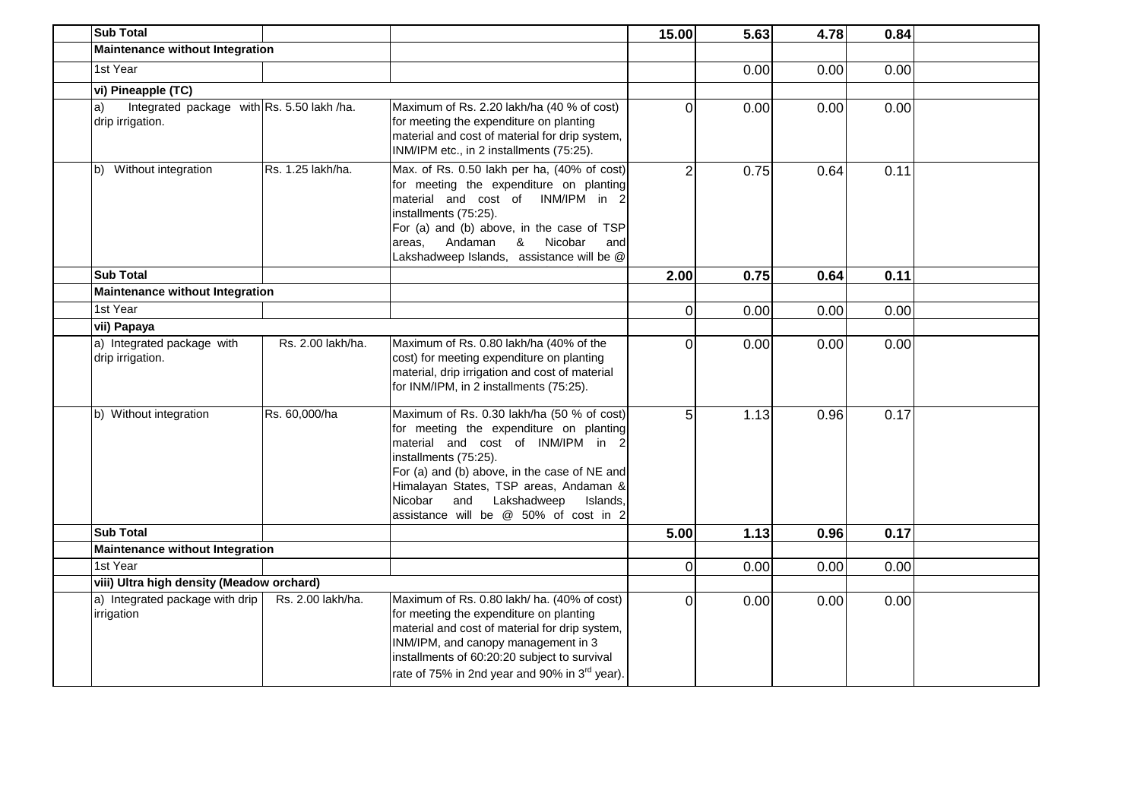| <b>Sub Total</b>                                                     |                   |                                                                                                                                                                                                                                                                                                                                     | 15.00          | 5.63 | 4.78 | 0.84 |  |
|----------------------------------------------------------------------|-------------------|-------------------------------------------------------------------------------------------------------------------------------------------------------------------------------------------------------------------------------------------------------------------------------------------------------------------------------------|----------------|------|------|------|--|
| <b>Maintenance without Integration</b>                               |                   |                                                                                                                                                                                                                                                                                                                                     |                |      |      |      |  |
| 1st Year                                                             |                   |                                                                                                                                                                                                                                                                                                                                     |                | 0.00 | 0.00 | 0.00 |  |
| vi) Pineapple (TC)                                                   |                   |                                                                                                                                                                                                                                                                                                                                     |                |      |      |      |  |
| Integrated package with Rs. 5.50 lakh /ha.<br>a)<br>drip irrigation. |                   | Maximum of Rs. 2.20 lakh/ha (40 % of cost)<br>for meeting the expenditure on planting<br>material and cost of material for drip system,<br>INM/IPM etc., in 2 installments (75:25).                                                                                                                                                 | $\Omega$       | 0.00 | 0.00 | 0.00 |  |
| Without integration<br>b)                                            | Rs. 1.25 lakh/ha. | Max. of Rs. 0.50 lakh per ha, (40% of cost)<br>for meeting the expenditure on planting<br>material and cost of INM/IPM in 2<br>installments (75:25).<br>For (a) and (b) above, in the case of TSP<br>Nicobar<br>Andaman<br>&<br>areas,<br>and<br>Lakshadweep Islands, assistance will be @                                          | $\overline{2}$ | 0.75 | 0.64 | 0.11 |  |
| <b>Sub Total</b>                                                     |                   |                                                                                                                                                                                                                                                                                                                                     | 2.00           | 0.75 | 0.64 | 0.11 |  |
| <b>Maintenance without Integration</b>                               |                   |                                                                                                                                                                                                                                                                                                                                     |                |      |      |      |  |
| 1st Year                                                             |                   |                                                                                                                                                                                                                                                                                                                                     | $\overline{0}$ | 0.00 | 0.00 | 0.00 |  |
| vii) Papaya                                                          |                   |                                                                                                                                                                                                                                                                                                                                     |                |      |      |      |  |
| a) Integrated package with<br>drip irrigation.                       | Rs. 2.00 lakh/ha. | Maximum of Rs. 0.80 lakh/ha (40% of the<br>cost) for meeting expenditure on planting<br>material, drip irrigation and cost of material<br>for INM/IPM, in 2 installments (75:25).                                                                                                                                                   | $\Omega$       | 0.00 | 0.00 | 0.00 |  |
| b) Without integration                                               | Rs. 60,000/ha     | Maximum of Rs. 0.30 lakh/ha (50 % of cost)<br>for meeting the expenditure on planting<br>material and cost of INM/IPM in 2<br>installments (75:25).<br>For (a) and (b) above, in the case of NE and<br>Himalayan States, TSP areas, Andaman &<br>Nicobar<br>and<br>Lakshadweep<br>Islands,<br>assistance will be @ 50% of cost in 2 | 5              | 1.13 | 0.96 | 0.17 |  |
| <b>Sub Total</b>                                                     |                   |                                                                                                                                                                                                                                                                                                                                     | 5.00           | 1.13 | 0.96 | 0.17 |  |
| <b>Maintenance without Integration</b>                               |                   |                                                                                                                                                                                                                                                                                                                                     |                |      |      |      |  |
| 1st Year                                                             |                   |                                                                                                                                                                                                                                                                                                                                     | $\Omega$       | 0.00 | 0.00 | 0.00 |  |
| viii) Ultra high density (Meadow orchard)                            |                   |                                                                                                                                                                                                                                                                                                                                     |                |      |      |      |  |
| a) Integrated package with drip<br>irrigation                        | Rs. 2.00 lakh/ha. | Maximum of Rs. 0.80 lakh/ ha. (40% of cost)<br>for meeting the expenditure on planting<br>material and cost of material for drip system,<br>INM/IPM, and canopy management in 3<br>installments of 60:20:20 subject to survival<br>rate of 75% in 2nd year and 90% in 3rd year).                                                    | $\Omega$       | 0.00 | 0.00 | 0.00 |  |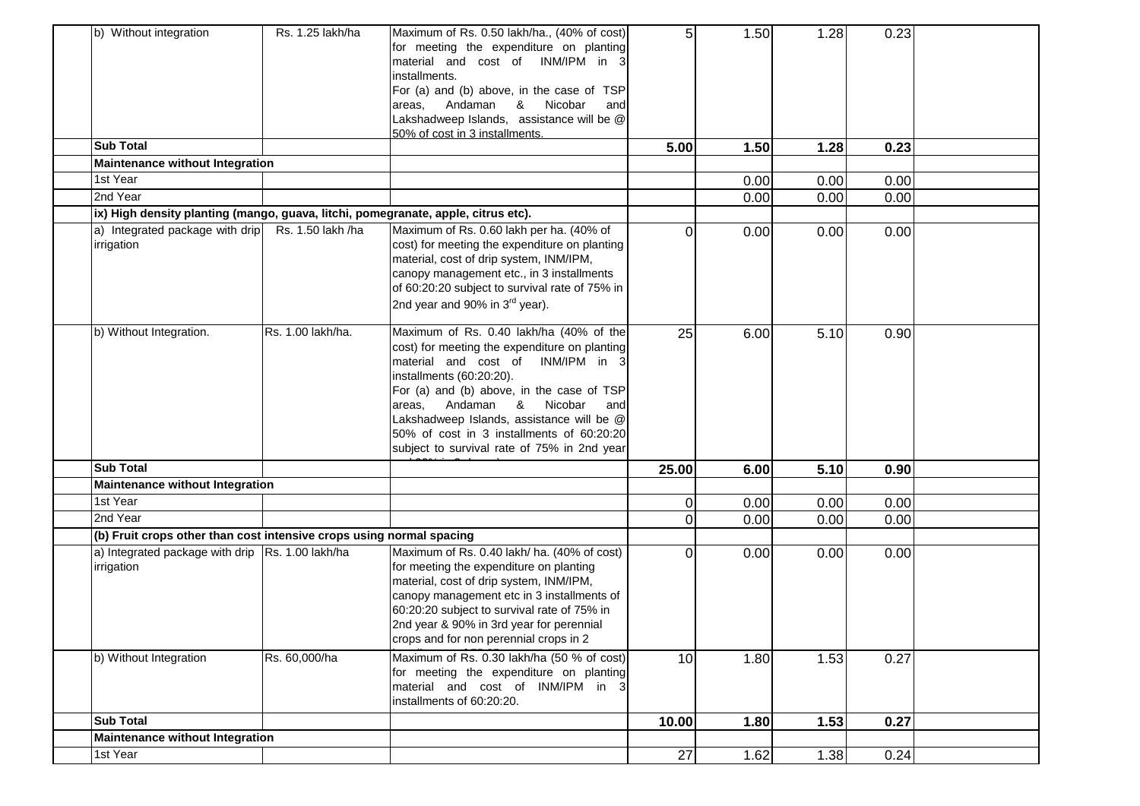| b) Without integration<br><b>Sub Total</b><br><b>Maintenance without Integration</b><br>1st Year<br>2nd Year | Rs. 1.25 lakh/ha  | Maximum of Rs. 0.50 lakh/ha., (40% of cost)<br>for meeting the expenditure on planting<br>material and cost of INM/IPM in 3<br>installments.<br>For (a) and (b) above, in the case of TSP<br>areas, Andaman & Nicobar<br>and<br>Lakshadweep Islands, assistance will be @<br>50% of cost in 3 installments.                                                                     | 5<br>5.00 | 1.50<br>1.50<br>0.00<br>0.00 | 1.28<br>1.28<br>0.00<br>0.00 | 0.23<br>0.23<br>0.00<br>0.00 |  |
|--------------------------------------------------------------------------------------------------------------|-------------------|---------------------------------------------------------------------------------------------------------------------------------------------------------------------------------------------------------------------------------------------------------------------------------------------------------------------------------------------------------------------------------|-----------|------------------------------|------------------------------|------------------------------|--|
| ix) High density planting (mango, guava, litchi, pomegranate, apple, citrus etc).                            |                   |                                                                                                                                                                                                                                                                                                                                                                                 |           |                              |                              |                              |  |
| a) Integrated package with drip Rs. 1.50 lakh /ha<br>irrigation                                              |                   | Maximum of Rs. 0.60 lakh per ha. (40% of<br>cost) for meeting the expenditure on planting<br>material, cost of drip system, INM/IPM,<br>canopy management etc., in 3 installments<br>of 60:20:20 subject to survival rate of 75% in<br>2nd year and 90% in 3 <sup>rd</sup> year).                                                                                               | $\Omega$  | 0.00                         | 0.00                         | 0.00                         |  |
| b) Without Integration.                                                                                      | Rs. 1.00 lakh/ha. | Maximum of Rs. 0.40 lakh/ha (40% of the<br>cost) for meeting the expenditure on planting<br>material and cost of INM/IPM in 3<br>installments (60:20:20).<br>For (a) and (b) above, in the case of TSP<br>areas, Andaman & Nicobar and<br>Lakshadweep Islands, assistance will be @<br>50% of cost in 3 installments of 60:20:20<br>subject to survival rate of 75% in 2nd year | 25        | 6.00                         | 5.10                         | 0.90                         |  |
| <b>Sub Total</b>                                                                                             |                   |                                                                                                                                                                                                                                                                                                                                                                                 | 25.00     | 6.00                         | 5.10                         | 0.90                         |  |
| Maintenance without Integration                                                                              |                   |                                                                                                                                                                                                                                                                                                                                                                                 |           |                              |                              |                              |  |
| 1st Year                                                                                                     |                   |                                                                                                                                                                                                                                                                                                                                                                                 | 0         | 0.00                         | 0.00                         | 0.00                         |  |
| 2nd Year                                                                                                     |                   |                                                                                                                                                                                                                                                                                                                                                                                 | $\Omega$  | 0.00                         | 0.00                         | 0.00                         |  |
| (b) Fruit crops other than cost intensive crops using normal spacing                                         |                   |                                                                                                                                                                                                                                                                                                                                                                                 |           |                              |                              |                              |  |
| a) Integrated package with drip Rs. 1.00 lakh/ha<br>irrigation                                               |                   | Maximum of Rs. 0.40 lakh/ ha. (40% of cost)<br>for meeting the expenditure on planting<br>material, cost of drip system, INM/IPM,<br>canopy management etc in 3 installments of<br>60:20:20 subject to survival rate of 75% in<br>2nd year & 90% in 3rd year for perennial<br>crops and for non perennial crops in 2                                                            | 0         | 0.00                         | 0.00                         | 0.00                         |  |
| b) Without Integration                                                                                       | Rs. 60,000/ha     | Maximum of Rs. 0.30 lakh/ha (50 % of cost)<br>for meeting the expenditure on planting<br>material and cost of INM/IPM in 3<br>installments of 60:20:20.                                                                                                                                                                                                                         | 10        | 1.80                         | 1.53                         | 0.27                         |  |
| <b>Sub Total</b>                                                                                             |                   |                                                                                                                                                                                                                                                                                                                                                                                 | 10.00     | 1.80                         | 1.53                         | 0.27                         |  |
| Maintenance without Integration                                                                              |                   |                                                                                                                                                                                                                                                                                                                                                                                 |           |                              |                              |                              |  |
| 1st Year                                                                                                     |                   |                                                                                                                                                                                                                                                                                                                                                                                 | 27        | 1.62                         | 1.38                         | 0.24                         |  |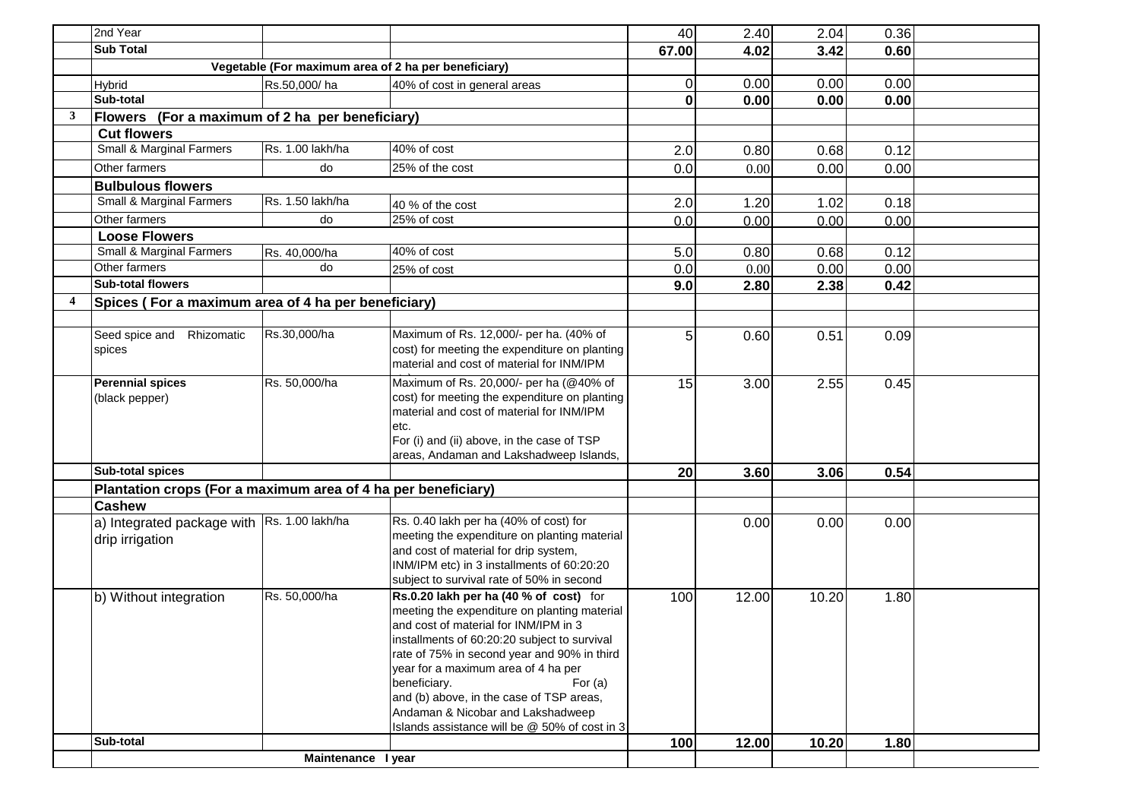|   | 2nd Year                                                       |                    |                                                                                                                                                                                                                                                                                                                                                                                                                                      | 40              | 2.40  | 2.04  | 0.36 |  |
|---|----------------------------------------------------------------|--------------------|--------------------------------------------------------------------------------------------------------------------------------------------------------------------------------------------------------------------------------------------------------------------------------------------------------------------------------------------------------------------------------------------------------------------------------------|-----------------|-------|-------|------|--|
|   | <b>Sub Total</b>                                               |                    |                                                                                                                                                                                                                                                                                                                                                                                                                                      | 67.00           | 4.02  | 3.42  | 0.60 |  |
|   |                                                                |                    | Vegetable (For maximum area of 2 ha per beneficiary)                                                                                                                                                                                                                                                                                                                                                                                 |                 |       |       |      |  |
|   | <b>Hybrid</b>                                                  | Rs.50,000/ha       | 40% of cost in general areas                                                                                                                                                                                                                                                                                                                                                                                                         | $\Omega$        | 0.00  | 0.00  | 0.00 |  |
|   | Sub-total                                                      |                    |                                                                                                                                                                                                                                                                                                                                                                                                                                      | $\mathbf{0}$    | 0.00  | 0.00  | 0.00 |  |
| 3 | Flowers (For a maximum of 2 ha per beneficiary)                |                    |                                                                                                                                                                                                                                                                                                                                                                                                                                      |                 |       |       |      |  |
|   | <b>Cut flowers</b>                                             |                    |                                                                                                                                                                                                                                                                                                                                                                                                                                      |                 |       |       |      |  |
|   | Small & Marginal Farmers                                       | Rs. 1.00 lakh/ha   | 40% of cost                                                                                                                                                                                                                                                                                                                                                                                                                          | 2.0             | 0.80  | 0.68  | 0.12 |  |
|   | Other farmers                                                  | do                 | 25% of the cost                                                                                                                                                                                                                                                                                                                                                                                                                      | 0.0             | 0.00  | 0.00  | 0.00 |  |
|   | <b>Bulbulous flowers</b>                                       |                    |                                                                                                                                                                                                                                                                                                                                                                                                                                      |                 |       |       |      |  |
|   | Small & Marginal Farmers                                       | Rs. 1.50 lakh/ha   | 40 % of the cost                                                                                                                                                                                                                                                                                                                                                                                                                     | 2.0             | 1.20  | 1.02  | 0.18 |  |
|   | Other farmers                                                  | do                 | 25% of cost                                                                                                                                                                                                                                                                                                                                                                                                                          | 0.0             | 0.00  | 0.00  | 0.00 |  |
|   | <b>Loose Flowers</b>                                           |                    |                                                                                                                                                                                                                                                                                                                                                                                                                                      |                 |       |       |      |  |
|   | Small & Marginal Farmers                                       | Rs. 40,000/ha      | 40% of cost                                                                                                                                                                                                                                                                                                                                                                                                                          | 5.0             | 0.80  | 0.68  | 0.12 |  |
|   | Other farmers                                                  | do                 | 25% of cost                                                                                                                                                                                                                                                                                                                                                                                                                          | 0.0             | 0.00  | 0.00  | 0.00 |  |
|   | <b>Sub-total flowers</b>                                       |                    |                                                                                                                                                                                                                                                                                                                                                                                                                                      | 9.0             | 2.80  | 2.38  | 0.42 |  |
|   | Spices (For a maximum area of 4 ha per beneficiary)            |                    |                                                                                                                                                                                                                                                                                                                                                                                                                                      |                 |       |       |      |  |
|   |                                                                |                    |                                                                                                                                                                                                                                                                                                                                                                                                                                      |                 |       |       |      |  |
|   | Seed spice and Rhizomatic<br>spices                            | Rs.30,000/ha       | Maximum of Rs. 12,000/- per ha. (40% of<br>cost) for meeting the expenditure on planting<br>material and cost of material for INM/IPM                                                                                                                                                                                                                                                                                                | 5 <sub>l</sub>  | 0.60  | 0.51  | 0.09 |  |
|   | <b>Perennial spices</b><br>(black pepper)                      | Rs. 50,000/ha      | Maximum of Rs. 20,000/- per ha (@40% of<br>cost) for meeting the expenditure on planting<br>material and cost of material for INM/IPM<br>etc.<br>For (i) and (ii) above, in the case of TSP<br>areas, Andaman and Lakshadweep Islands,                                                                                                                                                                                               | 15              | 3.00  | 2.55  | 0.45 |  |
|   | Sub-total spices                                               |                    |                                                                                                                                                                                                                                                                                                                                                                                                                                      | 20 <sub>l</sub> | 3.60  | 3.06  | 0.54 |  |
|   | Plantation crops (For a maximum area of 4 ha per beneficiary)  |                    |                                                                                                                                                                                                                                                                                                                                                                                                                                      |                 |       |       |      |  |
|   | <b>Cashew</b>                                                  |                    |                                                                                                                                                                                                                                                                                                                                                                                                                                      |                 |       |       |      |  |
|   | a) Integrated package with Rs. 1.00 lakh/ha<br>drip irrigation |                    | Rs. 0.40 lakh per ha (40% of cost) for<br>meeting the expenditure on planting material<br>and cost of material for drip system,<br>INM/IPM etc) in 3 installments of 60:20:20<br>subject to survival rate of 50% in second                                                                                                                                                                                                           |                 | 0.00  | 0.00  | 0.00 |  |
|   | b) Without integration                                         | Rs. 50,000/ha      | Rs.0.20 lakh per ha (40 % of cost) for<br>meeting the expenditure on planting material<br>and cost of material for INM/IPM in 3<br>installments of 60:20:20 subject to survival<br>rate of 75% in second year and 90% in third<br>year for a maximum area of 4 ha per<br>beneficiary.<br>For $(a)$<br>and (b) above, in the case of TSP areas,<br>Andaman & Nicobar and Lakshadweep<br>Islands assistance will be @ 50% of cost in 3 | 100             | 12.00 | 10.20 | 1.80 |  |
|   | Sub-total                                                      |                    |                                                                                                                                                                                                                                                                                                                                                                                                                                      | 100             | 12.00 | 10.20 | 1.80 |  |
|   |                                                                | Maintenance I year |                                                                                                                                                                                                                                                                                                                                                                                                                                      |                 |       |       |      |  |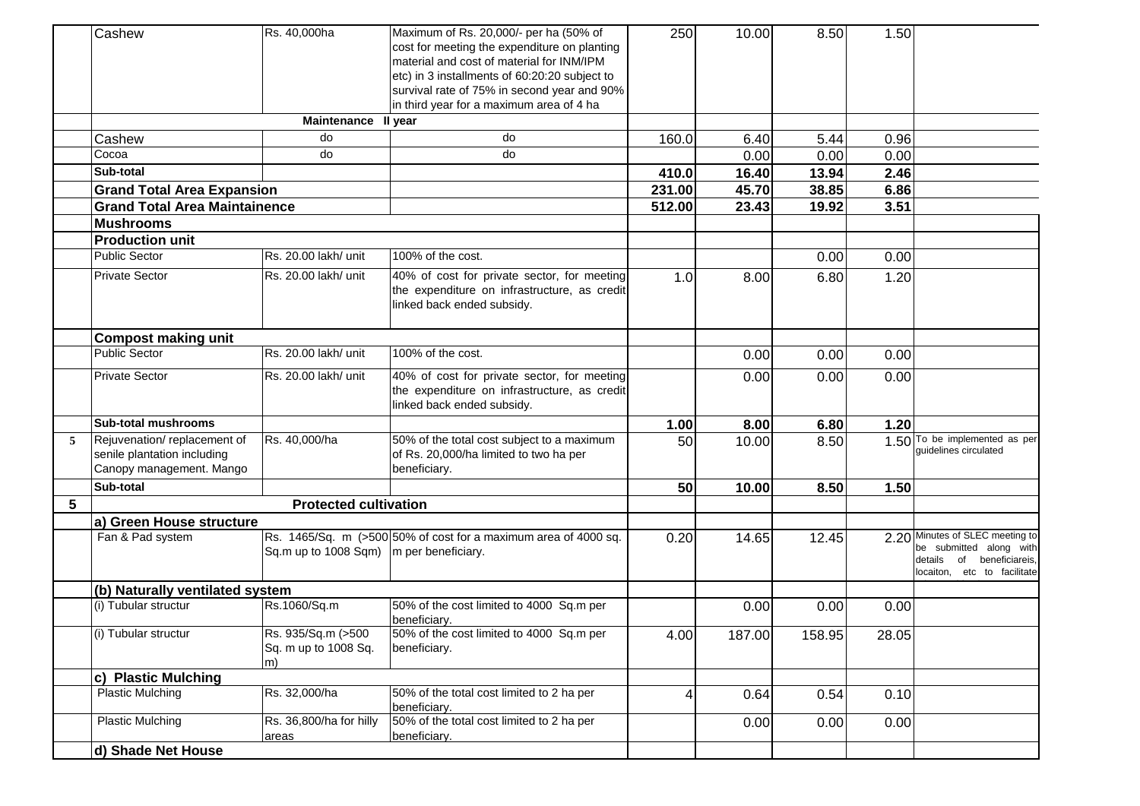|   | Cashew                                                                                 | Rs. 40,000ha                                     | Maximum of Rs. 20,000/- per ha (50% of<br>cost for meeting the expenditure on planting<br>material and cost of material for INM/IPM<br>etc) in 3 installments of 60:20:20 subject to<br>survival rate of 75% in second year and 90%<br>in third year for a maximum area of 4 ha | 250    | 10.00  | 8.50   | 1.50  |                                                                                                                           |
|---|----------------------------------------------------------------------------------------|--------------------------------------------------|---------------------------------------------------------------------------------------------------------------------------------------------------------------------------------------------------------------------------------------------------------------------------------|--------|--------|--------|-------|---------------------------------------------------------------------------------------------------------------------------|
|   |                                                                                        | Maintenance II year                              |                                                                                                                                                                                                                                                                                 |        |        |        |       |                                                                                                                           |
|   | Cashew                                                                                 | do                                               | do                                                                                                                                                                                                                                                                              | 160.0  | 6.40   | 5.44   | 0.96  |                                                                                                                           |
|   | Cocoa                                                                                  | do                                               | do                                                                                                                                                                                                                                                                              |        | 0.00   | 0.00   | 0.00  |                                                                                                                           |
|   | Sub-total                                                                              |                                                  |                                                                                                                                                                                                                                                                                 | 410.0  | 16.40  | 13.94  | 2.46  |                                                                                                                           |
|   | <b>Grand Total Area Expansion</b>                                                      |                                                  |                                                                                                                                                                                                                                                                                 | 231.00 | 45.70  | 38.85  | 6.86  |                                                                                                                           |
|   | <b>Grand Total Area Maintainence</b>                                                   |                                                  |                                                                                                                                                                                                                                                                                 | 512.00 | 23.43  | 19.92  | 3.51  |                                                                                                                           |
|   | <b>Mushrooms</b>                                                                       |                                                  |                                                                                                                                                                                                                                                                                 |        |        |        |       |                                                                                                                           |
|   | <b>Production unit</b>                                                                 |                                                  |                                                                                                                                                                                                                                                                                 |        |        |        |       |                                                                                                                           |
|   | <b>Public Sector</b>                                                                   | Rs. 20.00 lakh/ unit                             | 100% of the cost.                                                                                                                                                                                                                                                               |        |        | 0.00   | 0.00  |                                                                                                                           |
|   | <b>Private Sector</b>                                                                  | Rs. 20.00 lakh/ unit                             | 40% of cost for private sector, for meeting<br>the expenditure on infrastructure, as credit<br>linked back ended subsidy.                                                                                                                                                       | 1.0    | 8.00   | 6.80   | 1.20  |                                                                                                                           |
|   | <b>Compost making unit</b>                                                             |                                                  |                                                                                                                                                                                                                                                                                 |        |        |        |       |                                                                                                                           |
|   | <b>Public Sector</b>                                                                   | Rs. 20.00 lakh/ unit                             | 100% of the cost.                                                                                                                                                                                                                                                               |        | 0.00   | 0.00   | 0.00  |                                                                                                                           |
|   | <b>Private Sector</b>                                                                  | Rs. 20.00 lakh/ unit                             | 40% of cost for private sector, for meeting<br>the expenditure on infrastructure, as credit<br>linked back ended subsidy.                                                                                                                                                       |        | 0.00   | 0.00   | 0.00  |                                                                                                                           |
|   | <b>Sub-total mushrooms</b>                                                             |                                                  |                                                                                                                                                                                                                                                                                 | 1.00   | 8.00   | 6.80   | 1.20  |                                                                                                                           |
| 5 | Rejuvenation/replacement of<br>senile plantation including<br>Canopy management. Mango | Rs. 40,000/ha                                    | 50% of the total cost subject to a maximum<br>of Rs. 20,000/ha limited to two ha per<br>beneficiary.                                                                                                                                                                            | 50     | 10.00  | 8.50   |       | 1.50 To be implemented as per<br>guidelines circulated                                                                    |
|   | Sub-total                                                                              |                                                  |                                                                                                                                                                                                                                                                                 | 50     | 10.00  | 8.50   | 1.50  |                                                                                                                           |
| 5 |                                                                                        | <b>Protected cultivation</b>                     |                                                                                                                                                                                                                                                                                 |        |        |        |       |                                                                                                                           |
|   | a) Green House structure                                                               |                                                  |                                                                                                                                                                                                                                                                                 |        |        |        |       |                                                                                                                           |
|   | Fan & Pad system                                                                       | Sq.m up to 1008 Sqm)   m per beneficiary.        | Rs. 1465/Sq. m (>500 50% of cost for a maximum area of 4000 sq.                                                                                                                                                                                                                 | 0.20   | 14.65  | 12.45  |       | 2.20 Minutes of SLEC meeting to<br>be submitted along with<br>of beneficiareis,<br>details<br>locaiton, etc to facilitate |
|   | (b) Naturally ventilated system                                                        |                                                  |                                                                                                                                                                                                                                                                                 |        |        |        |       |                                                                                                                           |
|   | (i) Tubular structur                                                                   | Rs.1060/Sq.m                                     | 50% of the cost limited to 4000 Sq.m per<br>beneficiary.                                                                                                                                                                                                                        |        | 0.00   | 0.00   | 0.00  |                                                                                                                           |
|   | (i) Tubular structur                                                                   | Rs. 935/Sq.m (>500<br>Sq. m up to 1008 Sq.<br>m) | 50% of the cost limited to 4000 Sq.m per<br>beneficiary.                                                                                                                                                                                                                        | 4.00   | 187.00 | 158.95 | 28.05 |                                                                                                                           |
|   | c) Plastic Mulching                                                                    |                                                  |                                                                                                                                                                                                                                                                                 |        |        |        |       |                                                                                                                           |
|   | <b>Plastic Mulching</b>                                                                | Rs. 32,000/ha                                    | 50% of the total cost limited to 2 ha per<br>beneficiary.                                                                                                                                                                                                                       | 4      | 0.64   | 0.54   | 0.10  |                                                                                                                           |
|   | <b>Plastic Mulching</b>                                                                | Rs. 36,800/ha for hilly<br>areas                 | 50% of the total cost limited to 2 ha per<br>beneficiary.                                                                                                                                                                                                                       |        | 0.00   | 0.00   | 0.00  |                                                                                                                           |
|   | d) Shade Net House                                                                     |                                                  |                                                                                                                                                                                                                                                                                 |        |        |        |       |                                                                                                                           |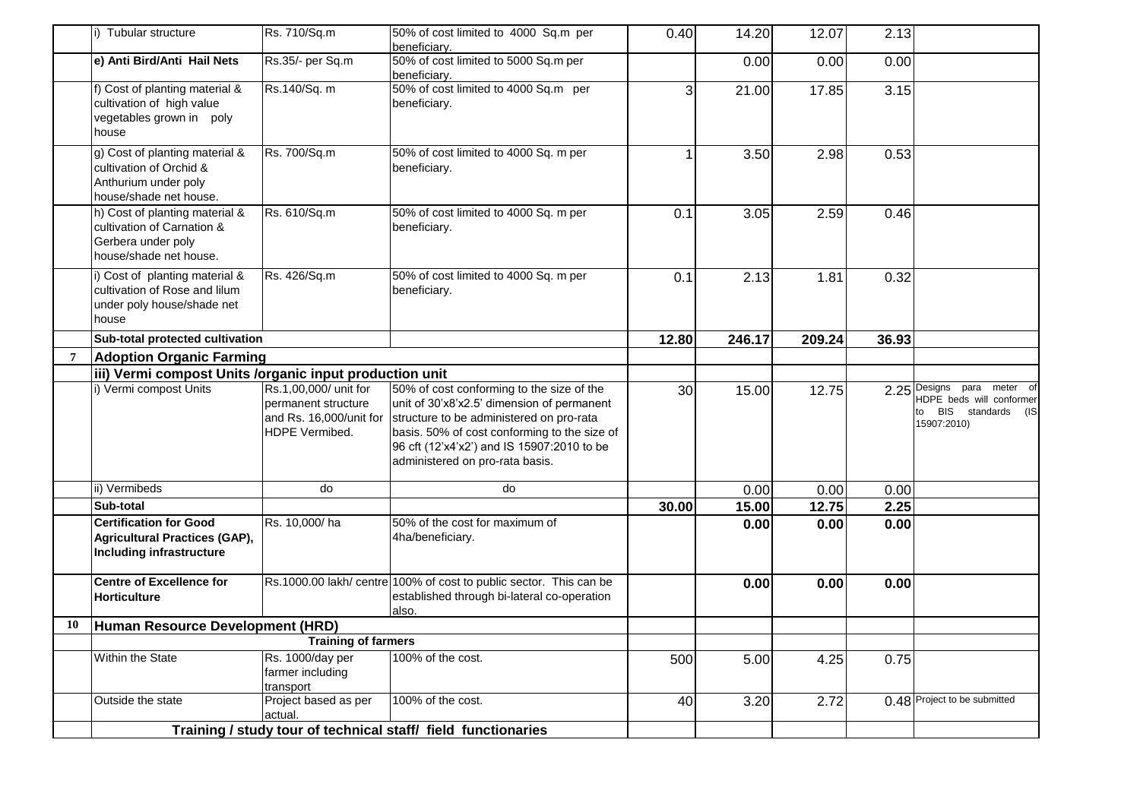|    | i) Tubular structure                                                                                         | Rs. 710/Sq.m                                                                              | 50% of cost limited to 4000 Sq.m per<br>beneficiary.                                                                                                                                                                                                                 | 0.40  | 14.20  | 12.07  | 2.13  |                                                                                               |
|----|--------------------------------------------------------------------------------------------------------------|-------------------------------------------------------------------------------------------|----------------------------------------------------------------------------------------------------------------------------------------------------------------------------------------------------------------------------------------------------------------------|-------|--------|--------|-------|-----------------------------------------------------------------------------------------------|
|    | e) Anti Bird/Anti Hail Nets                                                                                  | Rs.35/- per Sq.m                                                                          | 50% of cost limited to 5000 Sq.m per<br>beneficiary.                                                                                                                                                                                                                 |       | 0.00   | 0.00   | 0.00  |                                                                                               |
|    | f) Cost of planting material &<br>cultivation of high value<br>vegetables grown in poly<br>house             | Rs.140/Sq. m                                                                              | 50% of cost limited to 4000 Sq.m per<br>beneficiary.                                                                                                                                                                                                                 | 3     | 21.00  | 17.85  | 3.15  |                                                                                               |
|    | g) Cost of planting material &<br>cultivation of Orchid &<br>Anthurium under poly<br>house/shade net house.  | Rs. 700/Sq.m                                                                              | 50% of cost limited to 4000 Sq. m per<br>beneficiary.                                                                                                                                                                                                                | 1     | 3.50   | 2.98   | 0.53  |                                                                                               |
|    | h) Cost of planting material &<br>cultivation of Carnation &<br>Gerbera under poly<br>house/shade net house. | Rs. 610/Sq.m                                                                              | 50% of cost limited to 4000 Sq. m per<br>beneficiary.                                                                                                                                                                                                                | 0.1   | 3.05   | 2.59   | 0.46  |                                                                                               |
|    | i) Cost of planting material &<br>cultivation of Rose and lilum<br>under poly house/shade net<br>house       | Rs. 426/Sq.m                                                                              | 50% of cost limited to 4000 Sq. m per<br>beneficiary.                                                                                                                                                                                                                | 0.1   | 2.13   | 1.81   | 0.32  |                                                                                               |
|    | Sub-total protected cultivation                                                                              |                                                                                           |                                                                                                                                                                                                                                                                      | 12.80 | 246.17 | 209.24 | 36.93 |                                                                                               |
|    | <b>Adoption Organic Farming</b>                                                                              |                                                                                           |                                                                                                                                                                                                                                                                      |       |        |        |       |                                                                                               |
|    | iii) Vermi compost Units /organic input production unit                                                      |                                                                                           |                                                                                                                                                                                                                                                                      |       |        |        |       |                                                                                               |
|    | i) Vermi compost Units                                                                                       | Rs.1,00,000/ unit for<br>permanent structure<br>and Rs. 16,000/unit for<br>HDPE Vermibed. | 50% of cost conforming to the size of the<br>unit of 30'x8'x2.5' dimension of permanent<br>structure to be administered on pro-rata<br>basis. 50% of cost conforming to the size of<br>96 cft (12'x4'x2') and IS 15907:2010 to be<br>administered on pro-rata basis. | 30    | 15.00  | 12.75  |       | 2.25 Designs para meter of<br>HDPE beds will conformer<br>to BIS standards (IS<br>15907:2010) |
|    | ii) Vermibeds                                                                                                | do                                                                                        | do                                                                                                                                                                                                                                                                   |       | 0.00   | 0.00   | 0.00  |                                                                                               |
|    | Sub-total                                                                                                    |                                                                                           |                                                                                                                                                                                                                                                                      | 30.00 | 15.00  | 12.75  | 2.25  |                                                                                               |
|    | <b>Certification for Good</b><br><b>Agricultural Practices (GAP),</b><br>Including infrastructure            | Rs. 10,000/ha                                                                             | 50% of the cost for maximum of<br>4ha/beneficiary.                                                                                                                                                                                                                   |       | 0.00   | 0.00   | 0.00  |                                                                                               |
|    | <b>Centre of Excellence for</b><br><b>Horticulture</b>                                                       |                                                                                           | Rs.1000.00 lakh/ centre 100% of cost to public sector. This can be<br>established through bi-lateral co-operation<br>also.                                                                                                                                           |       | 0.00   | 0.00   | 0.00  |                                                                                               |
| 10 | Human Resource Development (HRD)                                                                             |                                                                                           |                                                                                                                                                                                                                                                                      |       |        |        |       |                                                                                               |
|    |                                                                                                              | <b>Training of farmers</b>                                                                |                                                                                                                                                                                                                                                                      |       |        |        |       |                                                                                               |
|    | Within the State                                                                                             | Rs. 1000/day per<br>farmer including                                                      | 100% of the cost.                                                                                                                                                                                                                                                    | 500   | 5.00   | 4.25   | 0.75  |                                                                                               |
|    |                                                                                                              | transport                                                                                 |                                                                                                                                                                                                                                                                      |       |        |        |       |                                                                                               |
|    | Outside the state                                                                                            | Project based as per<br>actual.                                                           | 100% of the cost.<br>Training / study tour of technical staff/ field functionaries                                                                                                                                                                                   | 40    | 3.20   | 2.72   |       | 0.48 Project to be submitted                                                                  |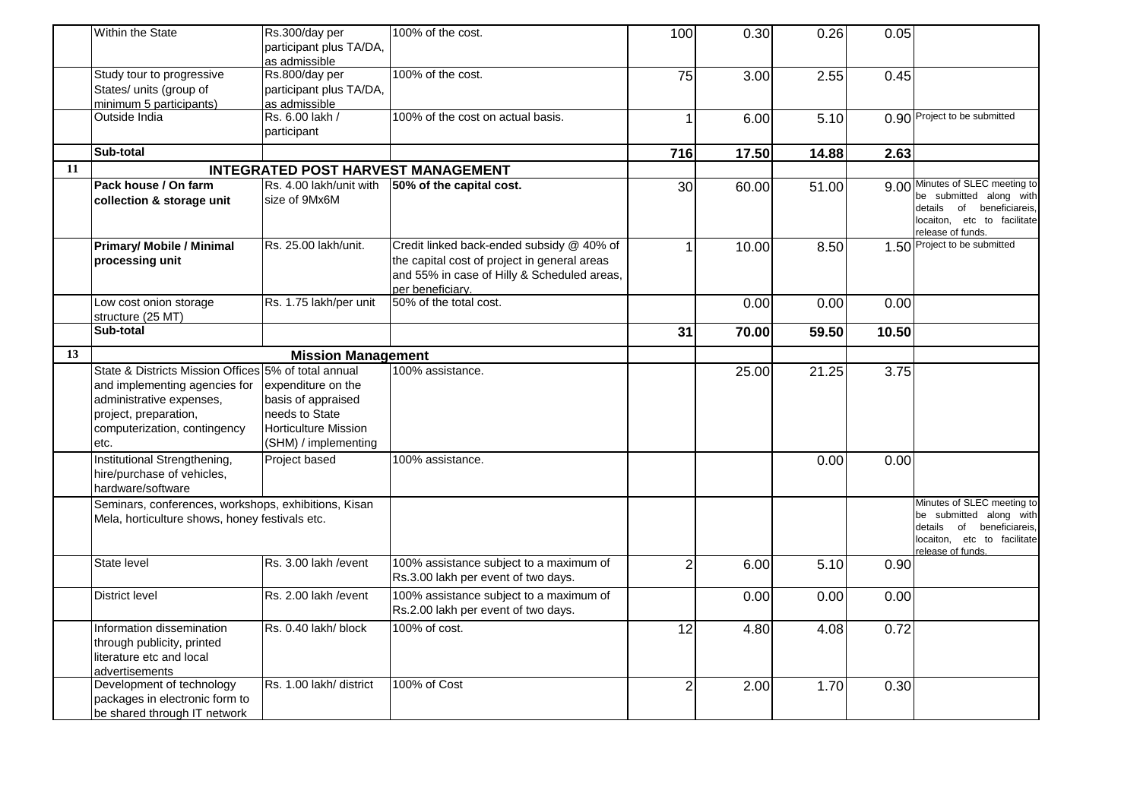|    | Within the State                                                                                                                                                                   | Rs.300/day per<br>participant plus TA/DA,                                                                         | 100% of the cost.                                                                                                                                            | 100            | 0.30  | 0.26  | 0.05  |                                                                                                                                           |
|----|------------------------------------------------------------------------------------------------------------------------------------------------------------------------------------|-------------------------------------------------------------------------------------------------------------------|--------------------------------------------------------------------------------------------------------------------------------------------------------------|----------------|-------|-------|-------|-------------------------------------------------------------------------------------------------------------------------------------------|
|    | Study tour to progressive<br>States/ units (group of                                                                                                                               | as admissible<br>Rs.800/day per<br>participant plus TA/DA,                                                        | 100% of the cost.                                                                                                                                            | 75             | 3.00  | 2.55  | 0.45  |                                                                                                                                           |
|    | minimum 5 participants)<br>Outside India                                                                                                                                           | as admissible<br>Rs. 6.00 lakh /<br>participant                                                                   | 100% of the cost on actual basis.                                                                                                                            | 1              | 6.00  | 5.10  |       | 0.90 Project to be submitted                                                                                                              |
|    | Sub-total                                                                                                                                                                          |                                                                                                                   |                                                                                                                                                              | 716            | 17.50 | 14.88 | 2.63  |                                                                                                                                           |
| 11 |                                                                                                                                                                                    | <b>INTEGRATED POST HARVEST MANAGEMENT</b>                                                                         |                                                                                                                                                              |                |       |       |       |                                                                                                                                           |
|    | Pack house / On farm<br>collection & storage unit                                                                                                                                  | Rs. 4.00 lakh/unit with<br>size of 9Mx6M                                                                          | 50% of the capital cost.                                                                                                                                     | 30             | 60.00 | 51.00 |       | 9.00 Minutes of SLEC meeting to<br>be submitted along with<br>details of beneficiareis,<br>locaiton, etc to facilitate                    |
|    | <b>Primary/ Mobile / Minimal</b><br>processing unit                                                                                                                                | Rs. 25.00 lakh/unit.                                                                                              | Credit linked back-ended subsidy @ 40% of<br>the capital cost of project in general areas<br>and 55% in case of Hilly & Scheduled areas,<br>per beneficiary. | 1              | 10.00 | 8.50  |       | release of funds.<br>1.50 Project to be submitted                                                                                         |
|    | Low cost onion storage<br>structure (25 MT)                                                                                                                                        | Rs. 1.75 lakh/per unit                                                                                            | 50% of the total cost.                                                                                                                                       |                | 0.00  | 0.00  | 0.00  |                                                                                                                                           |
|    | Sub-total                                                                                                                                                                          |                                                                                                                   |                                                                                                                                                              | 31             | 70.00 | 59.50 | 10.50 |                                                                                                                                           |
| 13 |                                                                                                                                                                                    | <b>Mission Management</b>                                                                                         |                                                                                                                                                              |                |       |       |       |                                                                                                                                           |
|    | State & Districts Mission Offices 5% of total annual<br>and implementing agencies for<br>administrative expenses,<br>project, preparation,<br>computerization, contingency<br>etc. | expenditure on the<br>basis of appraised<br>needs to State<br><b>Horticulture Mission</b><br>(SHM) / implementing | 100% assistance.                                                                                                                                             |                | 25.00 | 21.25 | 3.75  |                                                                                                                                           |
|    | Institutional Strengthening,<br>hire/purchase of vehicles,<br>hardware/software                                                                                                    | Project based                                                                                                     | 100% assistance.                                                                                                                                             |                |       | 0.00  | 0.00  |                                                                                                                                           |
|    | Seminars, conferences, workshops, exhibitions, Kisan<br>Mela, horticulture shows, honey festivals etc.                                                                             |                                                                                                                   |                                                                                                                                                              |                |       |       |       | Minutes of SLEC meeting to<br>be submitted along with<br>details<br>of beneficiareis,<br>locaiton, etc to facilitate<br>release of funds. |
|    | State level                                                                                                                                                                        | Rs. 3.00 lakh / event                                                                                             | 100% assistance subject to a maximum of<br>Rs.3.00 lakh per event of two days.                                                                               | $\overline{2}$ | 6.00  | 5.10  | 0.90  |                                                                                                                                           |
|    | <b>District level</b>                                                                                                                                                              | Rs. 2.00 lakh / event                                                                                             | 100% assistance subject to a maximum of<br>Rs.2.00 lakh per event of two days.                                                                               |                | 0.00  | 0.00  | 0.00  |                                                                                                                                           |
|    | Information dissemination<br>through publicity, printed<br>literature etc and local<br>advertisements                                                                              | Rs. 0.40 lakh/ block                                                                                              | 100% of cost.                                                                                                                                                | 12             | 4.80  | 4.08  | 0.72  |                                                                                                                                           |
|    | Development of technology<br>packages in electronic form to<br>be shared through IT network                                                                                        | Rs. 1.00 lakh/district                                                                                            | 100% of Cost                                                                                                                                                 | $\overline{2}$ | 2.00  | 1.70  | 0.30  |                                                                                                                                           |